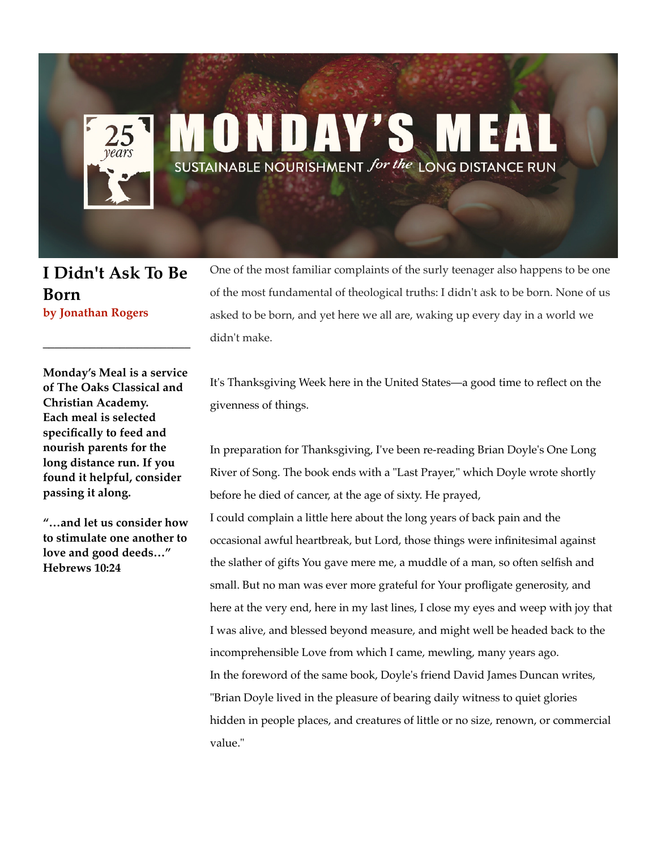## ONDAY'S SUSTAINABLE NOURISHMENT for the LONG DISTANCE RUN

## **I Didn't Ask To Be Born by Jonathan Rogers**

**\_\_\_\_\_\_\_\_\_\_\_\_\_\_\_\_\_\_\_\_\_\_\_\_\_**

One of the most familiar complaints of the surly teenager also happens to be one of the most fundamental of theological truths: I didn't ask to be born. None of us asked to be born, and yet here we all are, waking up every day in a world we didn't make.

**Monday's Meal is a service of The Oaks Classical and Christian Academy. Each meal is selected specifically to feed and nourish parents for the long distance run. If you found it helpful, consider passing it along.**

**"…and let us consider how to stimulate one another to love and good deeds…" Hebrews 10:24**

It's Thanksgiving Week here in the United States—a good time to reflect on the givenness of things.

In preparation for Thanksgiving, I've been re-reading Brian Doyle's One Long River of Song. The book ends with a "Last Prayer," which Doyle wrote shortly before he died of cancer, at the age of sixty. He prayed,

I could complain a little here about the long years of back pain and the occasional awful heartbreak, but Lord, those things were infinitesimal against the slather of gifts You gave mere me, a muddle of a man, so often selfish and small. But no man was ever more grateful for Your profligate generosity, and here at the very end, here in my last lines, I close my eyes and weep with joy that I was alive, and blessed beyond measure, and might well be headed back to the incomprehensible Love from which I came, mewling, many years ago. In the foreword of the same book, Doyle's friend David James Duncan writes, "Brian Doyle lived in the pleasure of bearing daily witness to quiet glories hidden in people places, and creatures of little or no size, renown, or commercial value."